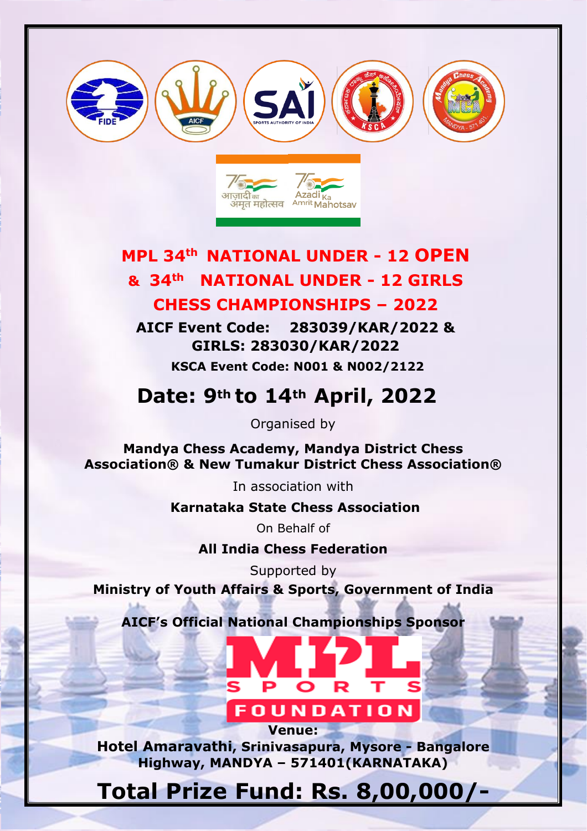



# **MPL 34th NATIONAL UNDER - 12 OPEN & 34th NATIONAL UNDER - 12 GIRLS CHESS CHAMPIONSHIPS – 2022**

**AICF Event Code: 283039/KAR/2022 & GIRLS: 283030/KAR/2022 KSCA Event Code: N001 & N002/2122** 

# **Date: 9th to 14th April, 2022**

Organised by

**Mandya Chess Academy, Mandya District Chess Association® & New Tumakur District Chess Association®**

In association with

**Karnataka State Chess Association**

On Behalf of

**All India Chess Federation**

Supported by

**Ministry of Youth Affairs & Sports, Government of India**

**AICF's Official National Championships Sponsor** 



**Hotel Amaravathi, Srinivasapura, Mysore - Bangalore Highway, MANDYA – 571401(KARNATAKA)**

**Venue:**

# **Total Prize Fund: Rs. 8,00,000/-**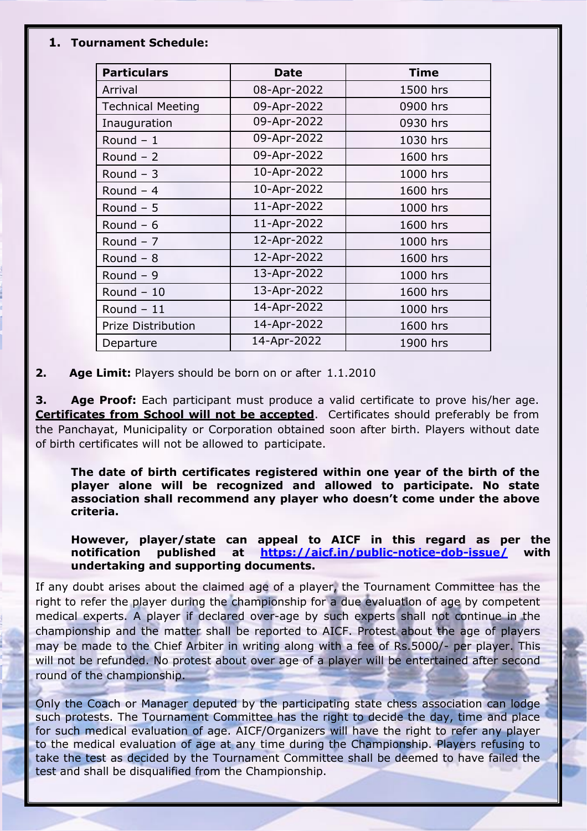#### **1. Tournament Schedule:**

| <b>Particulars</b>       | <b>Date</b> | <b>Time</b> |
|--------------------------|-------------|-------------|
| Arrival                  | 08-Apr-2022 | 1500 hrs    |
| <b>Technical Meeting</b> | 09-Apr-2022 | 0900 hrs    |
| Inauguration             | 09-Apr-2022 | 0930 hrs    |
| Round $-1$               | 09-Apr-2022 | 1030 hrs    |
| Round $-2$               | 09-Apr-2022 | 1600 hrs    |
| Round $-3$               | 10-Apr-2022 | 1000 hrs    |
| Round $-4$               | 10-Apr-2022 | 1600 hrs    |
| Round $-5$               | 11-Apr-2022 | 1000 hrs    |
| Round $-6$               | 11-Apr-2022 | 1600 hrs    |
| Round $-7$               | 12-Apr-2022 | 1000 hrs    |
| Round $-8$               | 12-Apr-2022 | 1600 hrs    |
| Round $-9$               | 13-Apr-2022 | 1000 hrs    |
| Round $-10$              | 13-Apr-2022 | 1600 hrs    |
| Round $-11$              | 14-Apr-2022 | 1000 hrs    |
| Prize Distribution       | 14-Apr-2022 | 1600 hrs    |
| Departure                | 14-Apr-2022 | 1900 hrs    |

**2. Age Limit:** Players should be born on or after 1.1.2010

**3. Age Proof:** Each participant must produce a valid certificate to prove his/her age. **Certificates from School will not be accepted**. Certificates should preferably be from the Panchayat, Municipality or Corporation obtained soon after birth. Players without date of birth certificates will not be allowed to participate.

**The date of birth certificates registered within one year of the birth of the player alone will be recognized and allowed to participate. No state association shall recommend any player who doesn't come under the above criteria.**

**However, player/state can appeal to AICF in this regard as per the notification published at <https://aicf.in/public-notice-dob-issue/> with undertaking and supporting documents.**

If any doubt arises about the claimed age of a player, the Tournament Committee has the right to refer the player during the championship for a due evaluation of age by competent medical experts. A player if declared over-age by such experts shall not continue in the championship and the matter shall be reported to AICF. Protest about the age of players may be made to the Chief Arbiter in writing along with a fee of Rs.5000/- per player. This will not be refunded. No protest about over age of a player will be entertained after second round of the championship.

Only the Coach or Manager deputed by the participating state chess association can lodge such protests. The Tournament Committee has the right to decide the day, time and place for such medical evaluation of age. AICF/Organizers will have the right to refer any player to the medical evaluation of age at any time during the Championship. Players refusing to take the test as decided by the Tournament Committee shall be deemed to have failed the test and shall be disqualified from the Championship.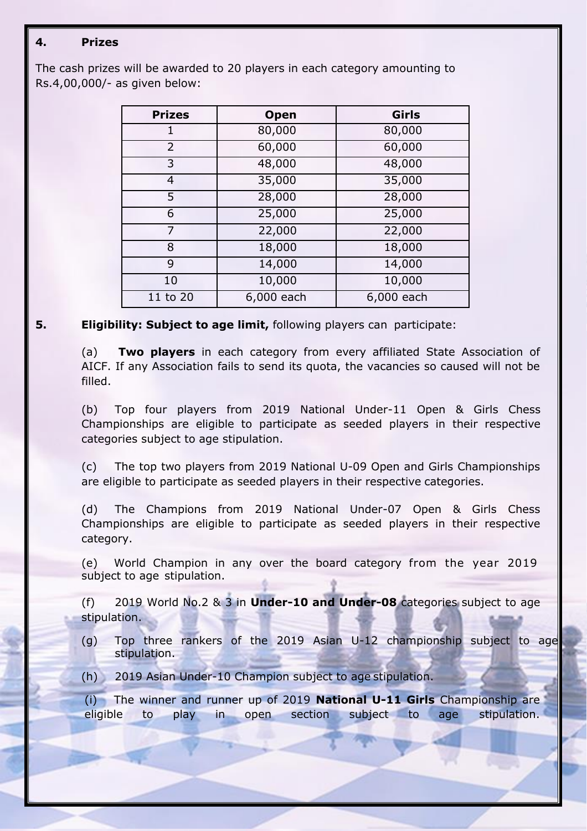## **4. Prizes**

The cash prizes will be awarded to 20 players in each category amounting to Rs.4,00,000/- as given below:

| <b>Prizes</b>  | <b>Open</b> | Girls      |
|----------------|-------------|------------|
| 1              | 80,000      | 80,000     |
| $\overline{2}$ | 60,000      | 60,000     |
| 3              | 48,000      | 48,000     |
| 4              | 35,000      | 35,000     |
| 5              | 28,000      | 28,000     |
| 6              | 25,000      | 25,000     |
| 7              | 22,000      | 22,000     |
| 8              | 18,000      | 18,000     |
| 9              | 14,000      | 14,000     |
| 10             | 10,000      | 10,000     |
| 11 to 20       | 6,000 each  | 6,000 each |

### **5. Eligibility: Subject to age limit,** following players can participate:

(a) **Two players** in each category from every affiliated State Association of AICF. If any Association fails to send its quota, the vacancies so caused will not be filled.

(b) Top four players from 2019 National Under-11 Open & Girls Chess Championships are eligible to participate as seeded players in their respective categories subject to age stipulation.

(c) The top two players from 2019 National U-09 Open and Girls Championships are eligible to participate as seeded players in their respective categories.

(d) The Champions from 2019 National Under-07 Open & Girls Chess Championships are eligible to participate as seeded players in their respective category.

(e) World Champion in any over the board category from the year 2019 subject to age stipulation.

(f) 2019 World No.2 & 3 in **Under-10 and Under-08** categories subject to age stipulation.

- (g) Top three rankers of the 2019 Asian U-12 championship subject to age stipulation.
- (h) 2019 Asian Under-10 Champion subject to age stipulation.

(i) The winner and runner up of 2019 **National U-11 Girls** Championship are eligible to play in open section subject to age stipulation.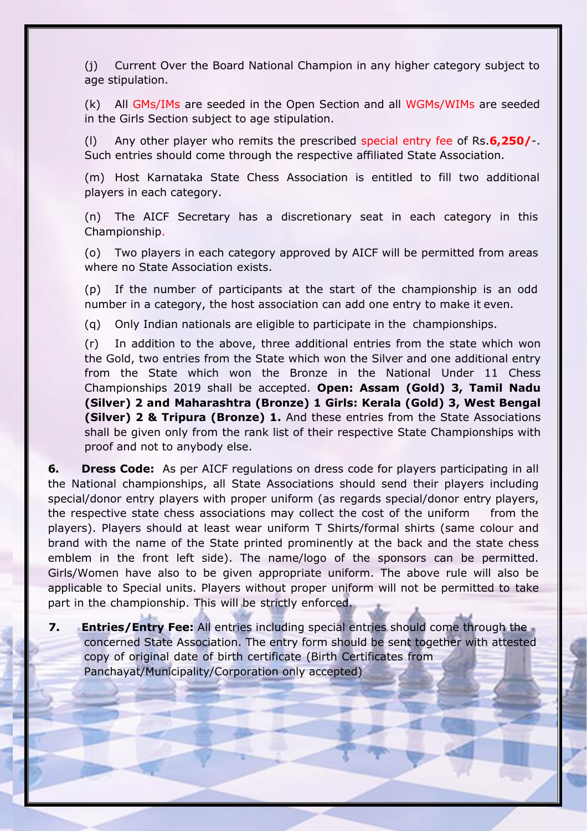(j) Current Over the Board National Champion in any higher category subject to age stipulation.

(k) All GMs/IMs are seeded in the Open Section and all WGMs/WIMs are seeded in the Girls Section subject to age stipulation.

(l) Any other player who remits the prescribed special entry fee of Rs.**6,250/**-. Such entries should come through the respective affiliated State Association.

(m) Host Karnataka State Chess Association is entitled to fill two additional players in each category.

(n) The AICF Secretary has a discretionary seat in each category in this Championship.

(o) Two players in each category approved by AICF will be permitted from areas where no State Association exists.

(p) If the number of participants at the start of the championship is an odd number in a category, the host association can add one entry to make it even.

(q) Only Indian nationals are eligible to participate in the championships.

(r) In addition to the above, three additional entries from the state which won the Gold, two entries from the State which won the Silver and one additional entry from the State which won the Bronze in the National Under 11 Chess Championships 2019 shall be accepted. **Open: Assam (Gold) 3, Tamil Nadu (Silver) 2 and Maharashtra (Bronze) 1 Girls: Kerala (Gold) 3, West Bengal (Silver) 2 & Tripura (Bronze) 1.** And these entries from the State Associations shall be given only from the rank list of their respective State Championships with proof and not to anybody else.

**6. Dress Code:** As per AICF regulations on dress code for players participating in all the National championships, all State Associations should send their players including special/donor entry players with proper uniform (as regards special/donor entry players, the respective state chess associations may collect the cost of the uniform from the players). Players should at least wear uniform T Shirts/formal shirts (same colour and brand with the name of the State printed prominently at the back and the state chess emblem in the front left side). The name/logo of the sponsors can be permitted. Girls/Women have also to be given appropriate uniform. The above rule will also be applicable to Special units. Players without proper uniform will not be permitted to take part in the championship. This will be strictly enforced.

**7. Entries/Entry Fee:** All entries including special entries should come through the concerned State Association. The entry form should be sent together with attested copy of original date of birth certificate (Birth Certificates from Panchayat/Municipality/Corporation only accepted)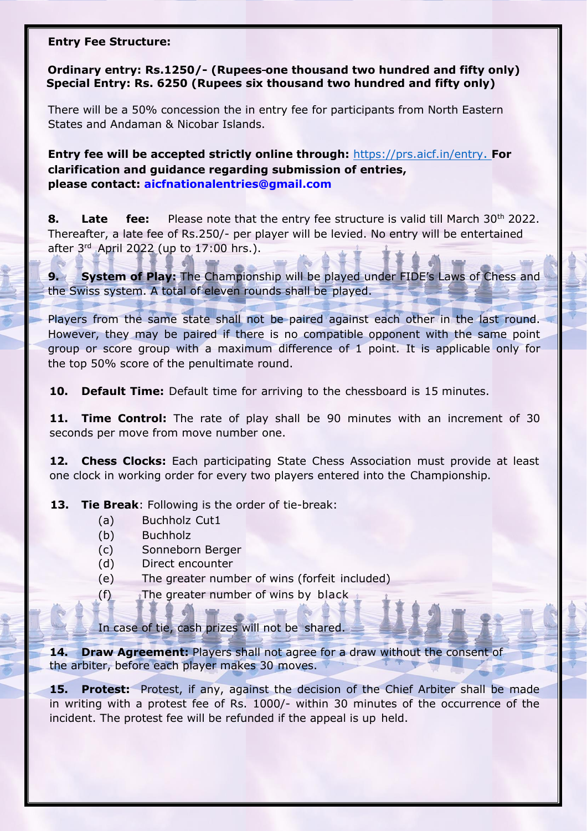#### **Entry Fee Structure:**

**Ordinary entry: Rs.1250/- (Rupees one thousand two hundred and fifty only) Special Entry: Rs. 6250 (Rupees six thousand two hundred and fifty only)**

There will be a 50% concession the in entry fee for participants from North Eastern States and Andaman & Nicobar Islands.

**Entry fee will be accepted strictly online through:** [https://prs.aicf.in/entry](https://prs.aicf.in/entry.). **For clarification and guidance regarding submission of entries, [please contact:](mailto:%20aicfnationalentries@gmail.com) [aicfnationalentries@gmail.com](mailto:aicfnationalentries@gmail.com)**

**8. Late fee:** Please note that the entry fee structure is valid till March 30<sup>th</sup> 2022. Thereafter, a late fee of Rs.250/- per player will be levied. No entry will be entertained after 3<sup>rd</sup> April 2022 (up to 17:00 hrs.).

**9. System of Play:** The Championship will be played under FIDE's Laws of Chess and the Swiss system. A total of eleven rounds shall be played.

Players from the same state shall not be paired against each other in the last round. However, they may be paired if there is no compatible opponent with the same point group or score group with a maximum difference of 1 point. It is applicable only for the top 50% score of the penultimate round.

**10. Default Time:** Default time for arriving to the chessboard is 15 minutes.

**11. Time Control:** The rate of play shall be 90 minutes with an increment of 30 seconds per move from move number one.

**12. Chess Clocks:** Each participating State Chess Association must provide at least one clock in working order for every two players entered into the Championship.

**13. Tie Break**: Following is the order of tie-break:

- (a) Buchholz Cut1
- (b) Buchholz
- (c) Sonneborn Berger
- (d) Direct encounter
- (e) The greater number of wins (forfeit included)
- $(f)$  The greater number of wins by black

In case of tie, cash prizes will not be shared.

**14. Draw Agreement:** Players shall not agree for a draw without the consent of the arbiter, before each player makes 30 moves.

**15. Protest:** Protest, if any, against the decision of the Chief Arbiter shall be made in writing with a protest fee of Rs. 1000/- within 30 minutes of the occurrence of the incident. The protest fee will be refunded if the appeal is up held.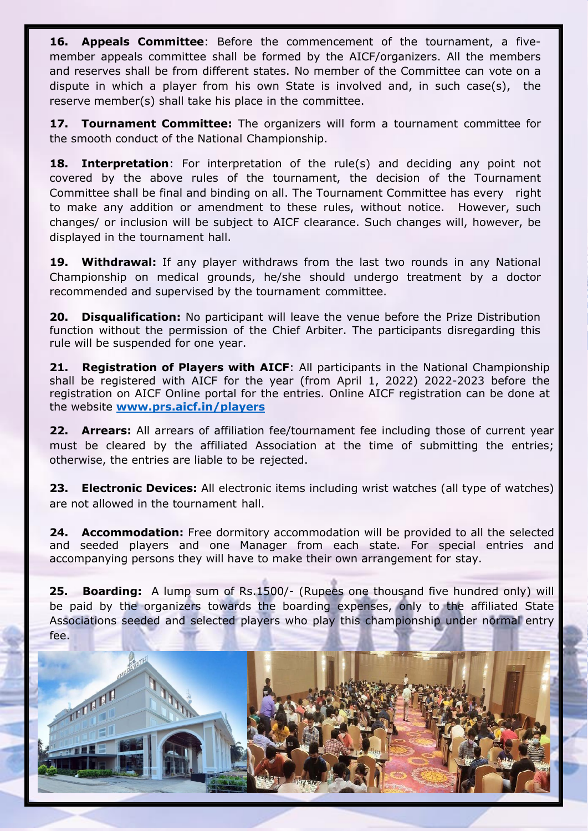**16. Appeals Committee**: Before the commencement of the tournament, a fivemember appeals committee shall be formed by the AICF/organizers. All the members and reserves shall be from different states. No member of the Committee can vote on a dispute in which a player from his own State is involved and, in such case(s), the reserve member(s) shall take his place in the committee.

**17. Tournament Committee:** The organizers will form a tournament committee for the smooth conduct of the National Championship.

**18. Interpretation**: For interpretation of the rule(s) and deciding any point not covered by the above rules of the tournament, the decision of the Tournament Committee shall be final and binding on all. The Tournament Committee has every right to make any addition or amendment to these rules, without notice. However, such changes/ or inclusion will be subject to AICF clearance. Such changes will, however, be displayed in the tournament hall.

**19. Withdrawal:** If any player withdraws from the last two rounds in any National Championship on medical grounds, he/she should undergo treatment by a doctor recommended and supervised by the tournament committee.

**20. Disqualification:** No participant will leave the venue before the Prize Distribution function without the permission of the Chief Arbiter. The participants disregarding this rule will be suspended for one year.

**21. Registration of Players with AICF**: All participants in the National Championship shall be registered with AICF for the year (from April 1, 2022) 2022-2023 before the registration on AICF Online portal for the entries. Online AICF registration can be done at the website **[www.prs.aicf.in/players](http://www.prs.aicf.in/players)**

**22. Arrears:** All arrears of affiliation fee/tournament fee including those of current year must be cleared by the affiliated Association at the time of submitting the entries; otherwise, the entries are liable to be rejected.

**23. Electronic Devices:** All electronic items including wrist watches (all type of watches) are not allowed in the tournament hall.

**24. Accommodation:** Free dormitory accommodation will be provided to all the selected and seeded players and one Manager from each state. For special entries and accompanying persons they will have to make their own arrangement for stay.

**25. Boarding:** A lump sum of Rs.1500/- (Rupees one thousand five hundred only) will be paid by the organizers towards the boarding expenses, only to the affiliated State Associations seeded and selected players who play this championship under normal entry fee.